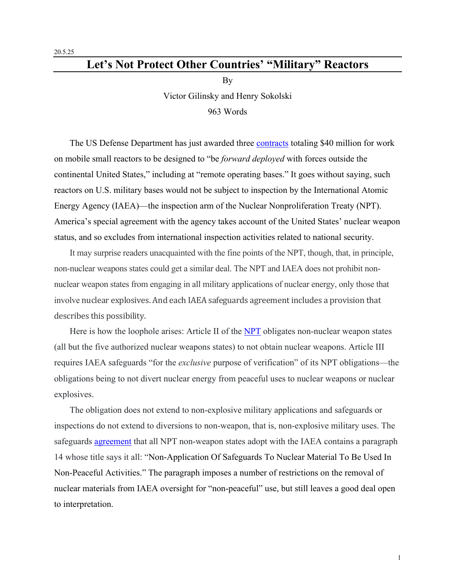## **Let's Not Protect Other Countries' "Military" Reactors**

By

Victor Gilinsky and Henry Sokolski

## 963 Words

The US Defense Department has just awarded three contracts totaling \$40 million for work on mobile small reactors to be designed to "be *forward deployed* with forces outside the continental United States," including at "remote operating bases." It goes without saying, such reactors on U.S. military bases would not be subject to inspection by the International Atomic Energy Agency (IAEA)—the inspection arm of the Nuclear Nonproliferation Treaty (NPT). America's special agreement with the agency takes account of the United States' nuclear weapon status, and so excludes from international inspection activities related to national security.

It may surprise readers unacquainted with the fine points of the NPT, though, that, in principle, non-nuclear weapons states could get a similar deal. The NPT and IAEA does not prohibit nonnuclear weapon states from engaging in all military applications of nuclear energy, only those that involve nuclear explosives. And each IAEA safeguards agreement includes a provision that describes this possibility.

Here is how the loophole arises: Article II of the NPT obligates non-nuclear weapon states (all but the five authorized nuclear weapons states) to not obtain nuclear weapons. Article III requires IAEA safeguards "for the *exclusive* purpose of verification" of its NPT obligations—the obligations being to not divert nuclear energy from peaceful uses to nuclear weapons or nuclear explosives.

The obligation does not extend to non-explosive military applications and safeguards or inspections do not extend to diversions to non-weapon, that is, non-explosive military uses. The safeguards agreement that all NPT non-weapon states adopt with the IAEA contains a paragraph 14 whose title says it all: "Non-Application Of Safeguards To Nuclear Material To Be Used In Non-Peaceful Activities." The paragraph imposes a number of restrictions on the removal of nuclear materials from IAEA oversight for "non-peaceful" use, but still leaves a good deal open to interpretation.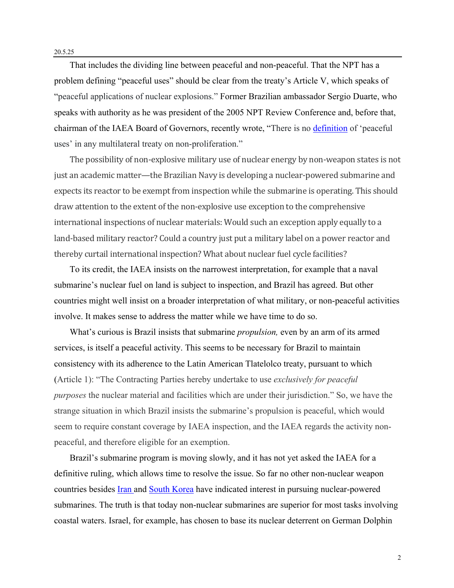That includes the dividing line between peaceful and non-peaceful. That the NPT has a problem defining "peaceful uses" should be clear from the treaty's Article V, which speaks of "peaceful applications of nuclear explosions." Former Brazilian ambassador Sergio Duarte, who speaks with authority as he was president of the 2005 NPT Review Conference and, before that, chairman of the IAEA Board of Governors, recently wrote, "There is no definition of 'peaceful uses' in any multilateral treaty on non-proliferation."

The possibility of non-explosive military use of nuclear energy by non-weapon states is not just an academic matter—the Brazilian Navy is developing a nuclear-powered submarine and expects its reactor to be exempt from inspection while the submarine is operating. This should draw attention to the extent of the non-explosive use exception to the comprehensive international inspections of nuclear materials: Would such an exception apply equally to a land-based military reactor? Could a country just put a military label on a power reactor and thereby curtail international inspection? What about nuclear fuel cycle facilities?

To its credit, the IAEA insists on the narrowest interpretation, for example that a naval submarine's nuclear fuel on land is subject to inspection, and Brazil has agreed. But other countries might well insist on a broader interpretation of what military, or non-peaceful activities involve. It makes sense to address the matter while we have time to do so.

What's curious is Brazil insists that submarine *propulsion,* even by an arm of its armed services, is itself a peaceful activity. This seems to be necessary for Brazil to maintain consistency with its adherence to the Latin American Tlatelolco treaty, pursuant to which (Article 1): "The Contracting Parties hereby undertake to use *exclusively for peaceful purposes* the nuclear material and facilities which are under their jurisdiction." So, we have the strange situation in which Brazil insists the submarine's propulsion is peaceful, which would seem to require constant coverage by IAEA inspection, and the IAEA regards the activity nonpeaceful, and therefore eligible for an exemption.

Brazil's submarine program is moving slowly, and it has not yet asked the IAEA for a definitive ruling, which allows time to resolve the issue. So far no other non-nuclear weapon countries besides **Iran and South Korea** have indicated interest in pursuing nuclear-powered submarines. The truth is that today non-nuclear submarines are superior for most tasks involving coastal waters. Israel, for example, has chosen to base its nuclear deterrent on German Dolphin